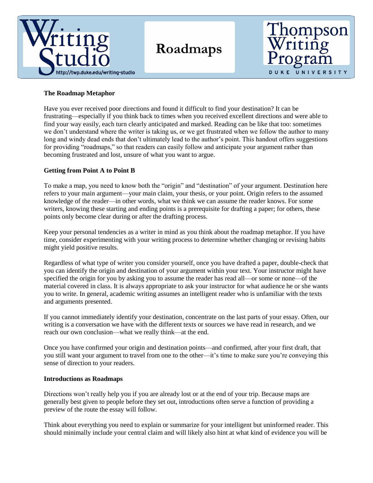

# **Roadmaps**



## **The Roadmap Metaphor**

Have you ever received poor directions and found it difficult to find your destination? It can be frustrating—especially if you think back to times when you received excellent directions and were able to find your way easily, each turn clearly anticipated and marked. Reading can be like that too: sometimes we don't understand where the writer is taking us, or we get frustrated when we follow the author to many long and windy dead ends that don't ultimately lead to the author's point. This handout offers suggestions for providing "roadmaps," so that readers can easily follow and anticipate your argument rather than becoming frustrated and lost, unsure of what you want to argue.

# **Getting from Point A to Point B**

To make a map, you need to know both the "origin" and "destination" of your argument. Destination here refers to your main argument—your main claim, your thesis, or your point. Origin refers to the assumed knowledge of the reader—in other words, what we think we can assume the reader knows. For some writers, knowing these starting and ending points is a prerequisite for drafting a paper; for others, these points only become clear during or after the drafting process.

Keep your personal tendencies as a writer in mind as you think about the roadmap metaphor. If you have time, consider experimenting with your writing process to determine whether changing or revising habits might yield positive results.

Regardless of what type of writer you consider yourself, once you have drafted a paper, double-check that you can identify the origin and destination of your argument within your text. Your instructor might have specified the origin for you by asking you to assume the reader has read all—or some or none—of the material covered in class. It is always appropriate to ask your instructor for what audience he or she wants you to write. In general, academic writing assumes an intelligent reader who is unfamiliar with the texts and arguments presented.

If you cannot immediately identify your destination, concentrate on the last parts of your essay. Often, our writing is a conversation we have with the different texts or sources we have read in research, and we reach our own conclusion—what we really think—at the end.

Once you have confirmed your origin and destination points—and confirmed, after your first draft, that you still want your argument to travel from one to the other—it's time to make sure you're conveying this sense of direction to your readers.

### **Introductions as Roadmaps**

Directions won't really help you if you are already lost or at the end of your trip. Because maps are generally best given to people before they set out, introductions often serve a function of providing a preview of the route the essay will follow.

Think about everything you need to explain or summarize for your intelligent but uninformed reader. This should minimally include your central claim and will likely also hint at what kind of evidence you will be